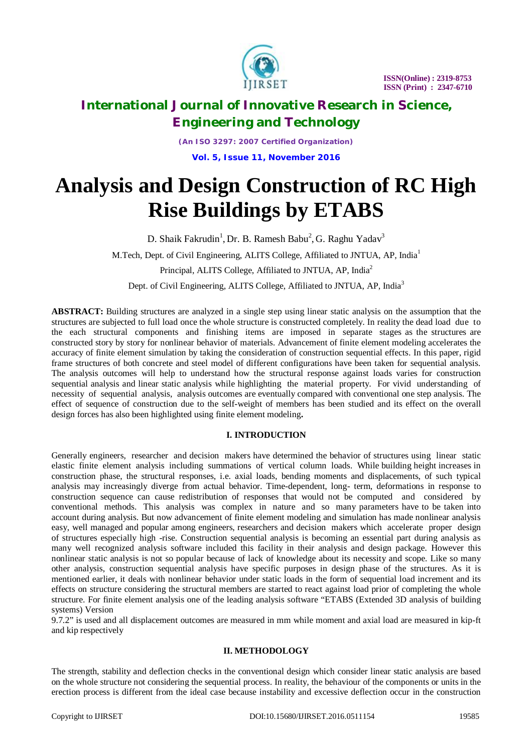

*(An ISO 3297: 2007 Certified Organization)* **Vol. 5, Issue 11, November 2016**

# **Analysis and Design Construction of RC High Rise Buildings by ETABS**

D. Shaik Fakrudin<sup>1</sup>, Dr. B. Ramesh Babu<sup>2</sup>, G. Raghu Yadav<sup>3</sup>

M.Tech, Dept. of Civil Engineering, ALITS College, Affiliated to JNTUA, AP, India<sup>1</sup>

Principal, ALITS College, Affiliated to JNTUA, AP, India<sup>2</sup>

Dept. of Civil Engineering, ALITS College, Affiliated to JNTUA, AP, India<sup>3</sup>

**ABSTRACT:** Building structures are analyzed in a single step using linear static analysis on the assumption that the structures are subjected to full load once the whole structure is constructed completely. In reality the dead load due to the each structural components and finishing items are imposed in separate stages as the structures are constructed story by story for nonlinear behavior of materials. Advancement of finite element modeling accelerates the accuracy of finite element simulation by taking the consideration of construction sequential effects. In this paper, rigid frame structures of both concrete and steel model of different configurations have been taken for sequential analysis. The analysis outcomes will help to understand how the structural response against loads varies for construction sequential analysis and linear static analysis while highlighting the material property. For vivid understanding of necessity of sequential analysis, analysis outcomes are eventually compared with conventional one step analysis. The effect of sequence of construction due to the self-weight of members has been studied and its effect on the overall design forces has also been highlighted using finite element modeling**.**

### **I. INTRODUCTION**

Generally engineers, researcher and decision makers have determined the behavior of structures using linear static elastic finite element analysis including summations of vertical column loads. While building height increases in construction phase, the structural responses, i.e. axial loads, bending moments and displacements, of such typical analysis may increasingly diverge from actual behavior. Time-dependent, long- term, deformations in response to construction sequence can cause redistribution of responses that would not be computed and considered by conventional methods. This analysis was complex in nature and so many parameters have to be taken into account during analysis. But now advancement of finite element modeling and simulation has made nonlinear analysis easy, well managed and popular among engineers, researchers and decision makers which accelerate proper design of structures especially high -rise. Construction sequential analysis is becoming an essential part during analysis as many well recognized analysis software included this facility in their analysis and design package. However this nonlinear static analysis is not so popular because of lack of knowledge about its necessity and scope. Like so many other analysis, construction sequential analysis have specific purposes in design phase of the structures. As it is mentioned earlier, it deals with nonlinear behavior under static loads in the form of sequential load increment and its effects on structure considering the structural members are started to react against load prior of completing the whole structure. For finite element analysis one of the leading analysis software "ETABS (Extended 3D analysis of building systems) Version

9.7.2" is used and all displacement outcomes are measured in mm while moment and axial load are measured in kip-ft and kip respectively

### **II. METHODOLOGY**

The strength, stability and deflection checks in the conventional design which consider linear static analysis are based on the whole structure not considering the sequential process. In reality, the behaviour of the components or units in the erection process is different from the ideal case because instability and excessive deflection occur in the construction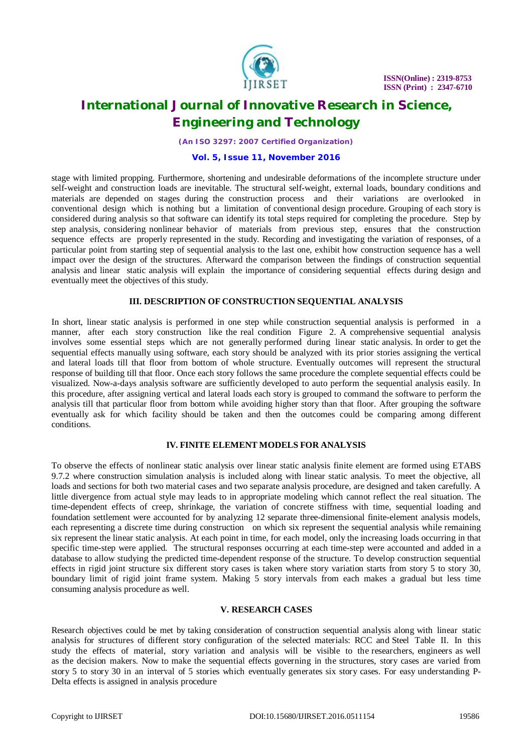

*(An ISO 3297: 2007 Certified Organization)*

#### **Vol. 5, Issue 11, November 2016**

stage with limited propping. Furthermore, shortening and undesirable deformations of the incomplete structure under self-weight and construction loads are inevitable. The structural self-weight, external loads, boundary conditions and materials are depended on stages during the construction process and their variations are overlooked in conventional design which is nothing but a limitation of conventional design procedure. Grouping of each story is considered during analysis so that software can identify its total steps required for completing the procedure. Step by step analysis, considering nonlinear behavior of materials from previous step, ensures that the construction sequence effects are properly represented in the study. Recording and investigating the variation of responses, of a particular point from starting step of sequential analysis to the last one, exhibit how construction sequence has a well impact over the design of the structures. Afterward the comparison between the findings of construction sequential analysis and linear static analysis will explain the importance of considering sequential effects during design and eventually meet the objectives of this study.

#### **III. DESCRIPTION OF CONSTRUCTION SEQUENTIAL ANALYSIS**

In short, linear static analysis is performed in one step while construction sequential analysis is performed in a manner, after each story construction like the real condition Figure 2. A comprehensive sequential analysis involves some essential steps which are not generally performed during linear static analysis. In order to get the sequential effects manually using software, each story should be analyzed with its prior stories assigning the vertical and lateral loads till that floor from bottom of whole structure. Eventually outcomes will represent the structural response of building till that floor. Once each story follows the same procedure the complete sequential effects could be visualized. Now-a-days analysis software are sufficiently developed to auto perform the sequential analysis easily. In this procedure, after assigning vertical and lateral loads each story is grouped to command the software to perform the analysis till that particular floor from bottom while avoiding higher story than that floor. After grouping the software eventually ask for which facility should be taken and then the outcomes could be comparing among different conditions.

### **IV. FINITE ELEMENT MODELS FOR ANALYSIS**

To observe the effects of nonlinear static analysis over linear static analysis finite element are formed using ETABS 9.7.2 where construction simulation analysis is included along with linear static analysis. To meet the objective, all loads and sections for both two material cases and two separate analysis procedure, are designed and taken carefully. A little divergence from actual style may leads to in appropriate modeling which cannot reflect the real situation. The time-dependent effects of creep, shrinkage, the variation of concrete stiffness with time, sequential loading and foundation settlement were accounted for by analyzing 12 separate three-dimensional finite-element analysis models, each representing a discrete time during construction on which six represent the sequential analysis while remaining six represent the linear static analysis. At each point in time, for each model, only the increasing loads occurring in that specific time-step were applied. The structural responses occurring at each time-step were accounted and added in a database to allow studying the predicted time-dependent response of the structure. To develop construction sequential effects in rigid joint structure six different story cases is taken where story variation starts from story 5 to story 30, boundary limit of rigid joint frame system. Making 5 story intervals from each makes a gradual but less time consuming analysis procedure as well.

#### **V. RESEARCH CASES**

Research objectives could be met by taking consideration of construction sequential analysis along with linear static analysis for structures of different story configuration of the selected materials: RCC and Steel Table II. In this study the effects of material, story variation and analysis will be visible to the researchers, engineers as well as the decision makers. Now to make the sequential effects governing in the structures, story cases are varied from story 5 to story 30 in an interval of 5 stories which eventually generates six story cases. For easy understanding P-Delta effects is assigned in analysis procedure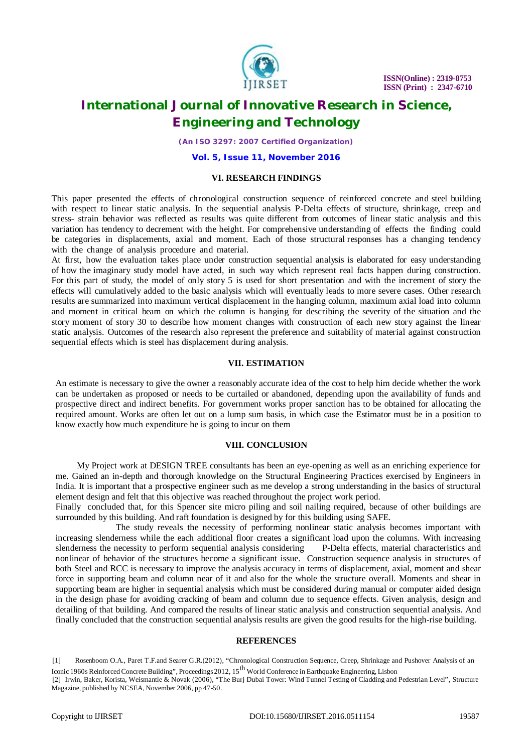

*(An ISO 3297: 2007 Certified Organization)*

**Vol. 5, Issue 11, November 2016**

#### **VI. RESEARCH FINDINGS**

This paper presented the effects of chronological construction sequence of reinforced concrete and steel building with respect to linear static analysis. In the sequential analysis P-Delta effects of structure, shrinkage, creep and stress- strain behavior was reflected as results was quite different from outcomes of linear static analysis and this variation has tendency to decrement with the height. For comprehensive understanding of effects the finding could be categories in displacements, axial and moment. Each of those structural responses has a changing tendency with the change of analysis procedure and material.

At first, how the evaluation takes place under construction sequential analysis is elaborated for easy understanding of how the imaginary study model have acted, in such way which represent real facts happen during construction. For this part of study, the model of only story 5 is used for short presentation and with the increment of story the effects will cumulatively added to the basic analysis which will eventually leads to more severe cases. Other research results are summarized into maximum vertical displacement in the hanging column, maximum axial load into column and moment in critical beam on which the column is hanging for describing the severity of the situation and the story moment of story 30 to describe how moment changes with construction of each new story against the linear static analysis. Outcomes of the research also represent the preference and suitability of material against construction sequential effects which is steel has displacement during analysis.

#### **VII. ESTIMATION**

An estimate is necessary to give the owner a reasonably accurate idea of the cost to help him decide whether the work can be undertaken as proposed or needs to be curtailed or abandoned, depending upon the availability of funds and prospective direct and indirect benefits. For government works proper sanction has to be obtained for allocating the required amount. Works are often let out on a lump sum basis, in which case the Estimator must be in a position to know exactly how much expenditure he is going to incur on them

#### **VIII. CONCLUSION**

My Project work at DESIGN TREE consultants has been an eye-opening as well as an enriching experience for me. Gained an in-depth and thorough knowledge on the Structural Engineering Practices exercised by Engineers in India. It is important that a prospective engineer such as me develop a strong understanding in the basics of structural element design and felt that this objective was reached throughout the project work period.

Finally concluded that, for this Spencer site micro piling and soil nailing required, because of other buildings are surrounded by this building. And raft foundation is designed by for this building using SAFE.

The study reveals the necessity of performing nonlinear static analysis becomes important with increasing slenderness while the each additional floor creates a significant load upon the columns. With increasing slenderness the necessity to perform sequential analysis considering P-Delta effects, material characteristics and nonlinear of behavior of the structures become a significant issue. Construction sequence analysis in structures of both Steel and RCC is necessary to improve the analysis accuracy in terms of displacement, axial, moment and shear force in supporting beam and column near of it and also for the whole the structure overall. Moments and shear in supporting beam are higher in sequential analysis which must be considered during manual or computer aided design in the design phase for avoiding cracking of beam and column due to sequence effects. Given analysis, design and detailing of that building. And compared the results of linear static analysis and construction sequential analysis. And finally concluded that the construction sequential analysis results are given the good results for the high-rise building.

#### **REFERENCES**

[1] Rosenboom O.A., Paret T.F.and Searer G.R.(2012), "Chronological Construction Sequence, Creep, Shrinkage and Pushover Analysis of an

Iconic 1960s Reinforced Concrete Building", Proceedings 2012, 15<sup>th</sup> World Conference in Earthquake Engineering, Lisbon

<sup>[2]</sup> Irwin, Baker, Korista, Weismantle & Novak (2006), "The Burj Dubai Tower: Wind Tunnel Testing of Cladding and Pedestrian Level", Structure Magazine, published by NCSEA, November 2006, pp 47-50.